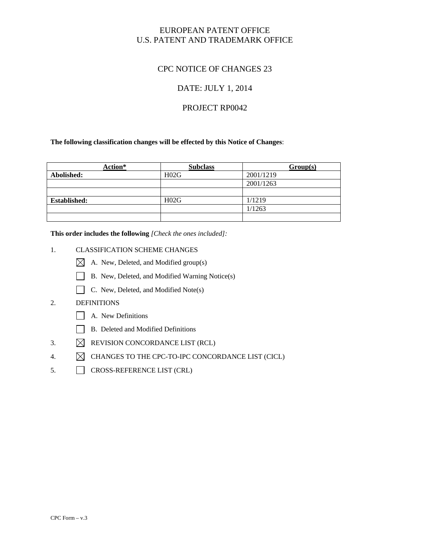# EUROPEAN PATENT OFFICE U.S. PATENT AND TRADEMARK OFFICE

# CPC NOTICE OF CHANGES 23

# DATE: JULY 1, 2014

## PROJECT RP0042

**The following classification changes will be effected by this Notice of Changes**:

| Action*             | <b>Subclass</b> | Group(s)  |
|---------------------|-----------------|-----------|
| Abolished:          | H02G            | 2001/1219 |
|                     |                 | 2001/1263 |
|                     |                 |           |
| <b>Established:</b> | H02G            | 1/1219    |
|                     |                 | 1/1263    |
|                     |                 |           |

**This order includes the following** *[Check the ones included]:* 

- 1. CLASSIFICATION SCHEME CHANGES
	- A. New, Deleted, and Modified group(s)
	- B. New, Deleted, and Modified Warning Notice(s)
	- C. New, Deleted, and Modified Note(s)

## 2. DEFINITIONS

- A. New Definitions
- B. Deleted and Modified Definitions
- 3.  $\boxtimes$  REVISION CONCORDANCE LIST (RCL)
- 4.  $\boxtimes$  CHANGES TO THE CPC-TO-IPC CONCORDANCE LIST (CICL)
- 5. CROSS-REFERENCE LIST (CRL)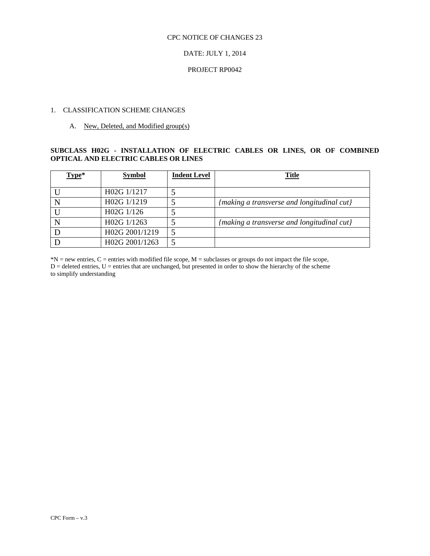#### CPC NOTICE OF CHANGES 23

### DATE: JULY 1, 2014

### PROJECT RP0042

#### 1. CLASSIFICATION SCHEME CHANGES

#### A. New, Deleted, and Modified group(s)

### **SUBCLASS H02G - INSTALLATION OF ELECTRIC CABLES OR LINES, OR OF COMBINED OPTICAL AND ELECTRIC CABLES OR LINES**

| Type* | <b>Symbol</b>  | <b>Indent Level</b> | <b>Title</b>                               |
|-------|----------------|---------------------|--------------------------------------------|
|       | H02G 1/1217    |                     |                                            |
|       | H02G 1/1219    |                     | {making a transverse and longitudinal cut} |
|       | H02G 1/126     |                     |                                            |
|       | H02G 1/1263    |                     | {making a transverse and longitudinal cut} |
|       | H02G 2001/1219 |                     |                                            |
|       | H02G 2001/1263 |                     |                                            |

 $D =$  deleted entries,  $U =$  entries that are unchanged, but presented in order to show the hierarchy of the scheme to simplify understanding  $*N$  = new entries, C = entries with modified file scope, M = subclasses or groups do not impact the file scope,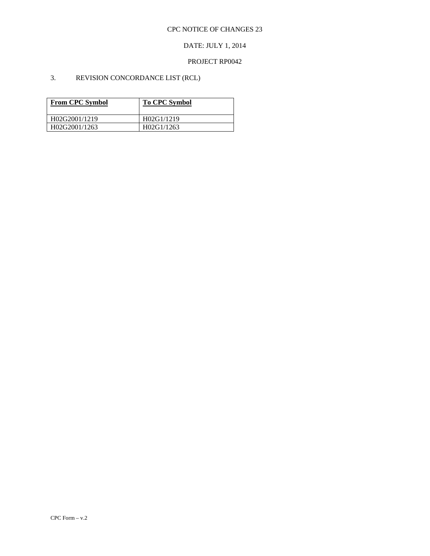### DATE: JULY 1, 2014

### PROJECT RP0042

# 3. REVISION CONCORDANCE LIST (RCL)

| <b>From CPC Symbol</b> | <b>To CPC Symbol</b> |
|------------------------|----------------------|
| H02G2001/1219          | H02G1/1219           |
| H02G2001/1263          | H02G1/1263           |